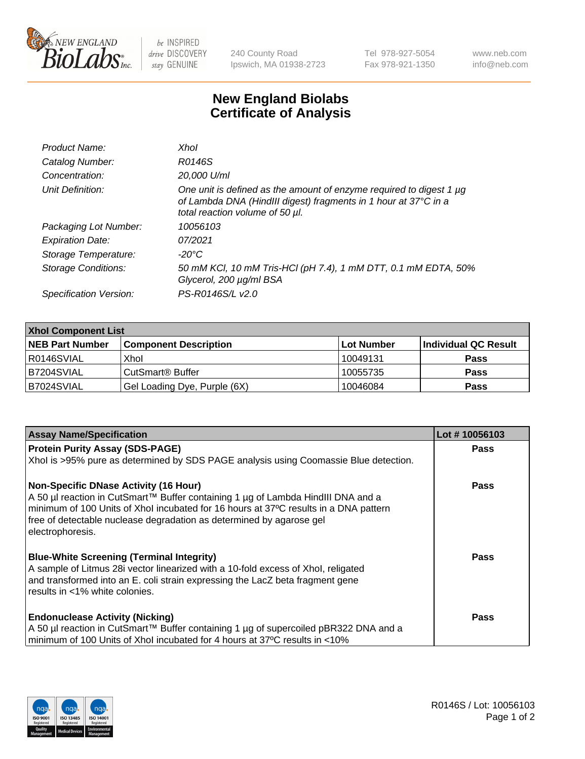

 $be$  INSPIRED drive DISCOVERY stay GENUINE

240 County Road Ipswich, MA 01938-2723 Tel 978-927-5054 Fax 978-921-1350 www.neb.com info@neb.com

## **New England Biolabs Certificate of Analysis**

| Product Name:           | Xhol                                                                                                                                                                      |
|-------------------------|---------------------------------------------------------------------------------------------------------------------------------------------------------------------------|
| Catalog Number:         | R0146S                                                                                                                                                                    |
| Concentration:          | 20,000 U/ml                                                                                                                                                               |
| Unit Definition:        | One unit is defined as the amount of enzyme required to digest 1 µg<br>of Lambda DNA (HindIII digest) fragments in 1 hour at 37°C in a<br>total reaction volume of 50 µl. |
| Packaging Lot Number:   | 10056103                                                                                                                                                                  |
| <b>Expiration Date:</b> | 07/2021                                                                                                                                                                   |
| Storage Temperature:    | -20°C                                                                                                                                                                     |
| Storage Conditions:     | 50 mM KCl, 10 mM Tris-HCl (pH 7.4), 1 mM DTT, 0.1 mM EDTA, 50%<br>Glycerol, 200 µg/ml BSA                                                                                 |
| Specification Version:  | PS-R0146S/L v2.0                                                                                                                                                          |

| <b>Xhol Component List</b> |                              |            |                      |  |  |
|----------------------------|------------------------------|------------|----------------------|--|--|
| <b>NEB Part Number</b>     | <b>Component Description</b> | Lot Number | Individual QC Result |  |  |
| I R0146SVIAL               | Xhol                         | 10049131   | <b>Pass</b>          |  |  |
| IB7204SVIAL                | CutSmart® Buffer             | 10055735   | <b>Pass</b>          |  |  |
| <b>B7024SVIAL</b>          | Gel Loading Dye, Purple (6X) | 10046084   | <b>Pass</b>          |  |  |

| <b>Assay Name/Specification</b>                                                                                                                                                                                                                                                                                      | Lot #10056103 |
|----------------------------------------------------------------------------------------------------------------------------------------------------------------------------------------------------------------------------------------------------------------------------------------------------------------------|---------------|
| <b>Protein Purity Assay (SDS-PAGE)</b>                                                                                                                                                                                                                                                                               | <b>Pass</b>   |
| Xhol is >95% pure as determined by SDS PAGE analysis using Coomassie Blue detection.                                                                                                                                                                                                                                 |               |
| <b>Non-Specific DNase Activity (16 Hour)</b><br>A 50 µl reaction in CutSmart™ Buffer containing 1 µg of Lambda HindIII DNA and a<br>minimum of 100 Units of Xhol incubated for 16 hours at 37°C results in a DNA pattern<br>free of detectable nuclease degradation as determined by agarose gel<br>electrophoresis. | Pass          |
| <b>Blue-White Screening (Terminal Integrity)</b><br>A sample of Litmus 28i vector linearized with a 10-fold excess of Xhol, religated<br>and transformed into an E. coli strain expressing the LacZ beta fragment gene<br>results in <1% white colonies.                                                             | Pass          |
| <b>Endonuclease Activity (Nicking)</b><br>A 50 µl reaction in CutSmart™ Buffer containing 1 µg of supercoiled pBR322 DNA and a<br>minimum of 100 Units of Xhol incubated for 4 hours at 37°C results in <10%                                                                                                         | Pass          |